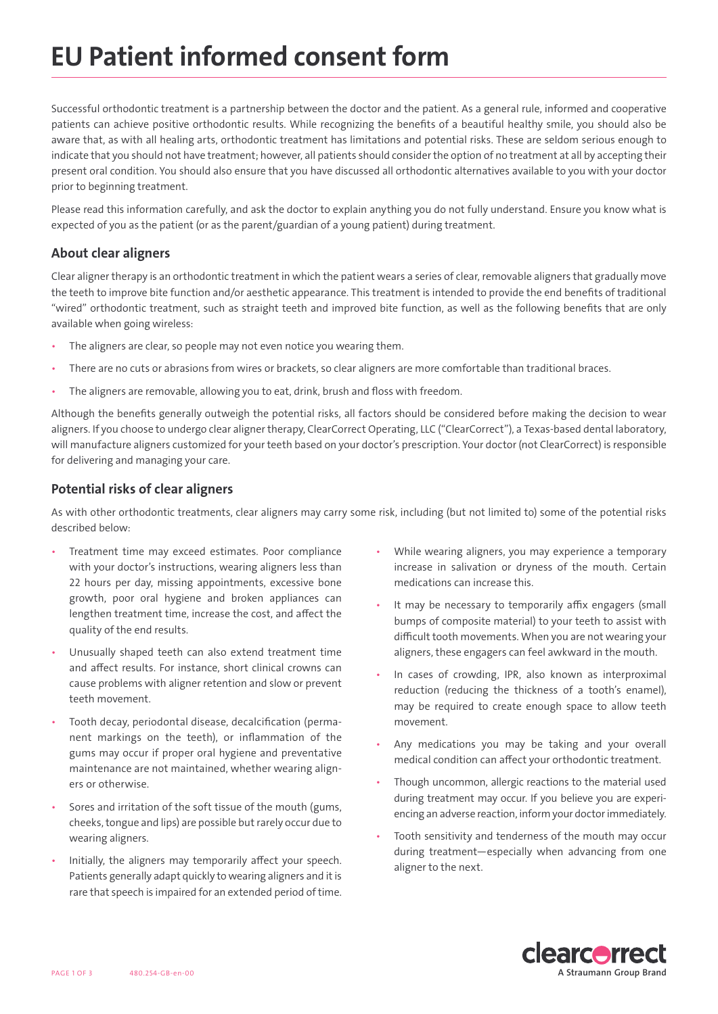## EU Patient informed consent form

Successful orthodontic treatment is a partnership between the doctor and the patient. As a general rule, informed and cooperative patients can achieve positive orthodontic results. While recognizing the benefits of a beautiful healthy smile, you should also be aware that, as with all healing arts, orthodontic treatment has limitations and potential risks. These are seldom serious enough to indicate that you should not have treatment; however, all patients should consider the option of no treatment at all by accepting their present oral condition. You should also ensure that you have discussed all orthodontic alternatives available to you with your doctor prior to beginning treatment.

Please read this information carefully, and ask the doctor to explain anything you do not fully understand. Ensure you know what is expected of you as the patient (or as the parent/guardian of a young patient) during treatment.

#### About clear aligners

Clear aligner therapy is an orthodontic treatment in which the patient wears a series of clear, removable aligners that gradually move the teeth to improve bite function and/or aesthetic appearance. This treatment is intended to provide the end benefits of traditional "wired" orthodontic treatment, such as straight teeth and improved bite function, as well as the following benefits that are only available when going wireless:

- The aligners are clear, so people may not even notice you wearing them.
- There are no cuts or abrasions from wires or brackets, so clear aligners are more comfortable than traditional braces.
- The aligners are removable, allowing you to eat, drink, brush and floss with freedom.

Although the benefits generally outweigh the potential risks, all factors should be considered before making the decision to wear aligners. If you choose to undergo clear aligner therapy, ClearCorrect Operating, LLC ("ClearCorrect"), a Texas-based dental laboratory, will manufacture aligners customized for your teeth based on your doctor's prescription. Your doctor (not ClearCorrect) is responsible for delivering and managing your care.

#### Potential risks of clear aligners

As with other orthodontic treatments, clear aligners may carry some risk, including (but not limited to) some of the potential risks described below:

- Treatment time may exceed estimates. Poor compliance with your doctor's instructions, wearing aligners less than 22 hours per day, missing appointments, excessive bone growth, poor oral hygiene and broken appliances can lengthen treatment time, increase the cost, and affect the quality of the end results.
- Unusually shaped teeth can also extend treatment time and affect results. For instance, short clinical crowns can cause problems with aligner retention and slow or prevent teeth movement.
- Tooth decay, periodontal disease, decalcification (permanent markings on the teeth), or inflammation of the gums may occur if proper oral hygiene and preventative maintenance are not maintained, whether wearing aligners or otherwise.
- Sores and irritation of the soft tissue of the mouth (gums, cheeks, tongue and lips) are possible but rarely occur due to wearing aligners.
- Initially, the aligners may temporarily affect your speech. Patients generally adapt quickly to wearing aligners and it is rare that speech is impaired for an extended period of time.
- While wearing aligners, you may experience a temporary increase in salivation or dryness of the mouth. Certain medications can increase this.
- It may be necessary to temporarily affix engagers (small bumps of composite material) to your teeth to assist with difficult tooth movements. When you are not wearing your aligners, these engagers can feel awkward in the mouth.
- In cases of crowding, IPR, also known as interproximal reduction (reducing the thickness of a tooth's enamel), may be required to create enough space to allow teeth movement.
- Any medications you may be taking and your overall medical condition can affect your orthodontic treatment.
- Though uncommon, allergic reactions to the material used during treatment may occur. If you believe you are experiencing an adverse reaction, inform your doctor immediately.
- Tooth sensitivity and tenderness of the mouth may occur during treatment—especially when advancing from one aligner to the next.

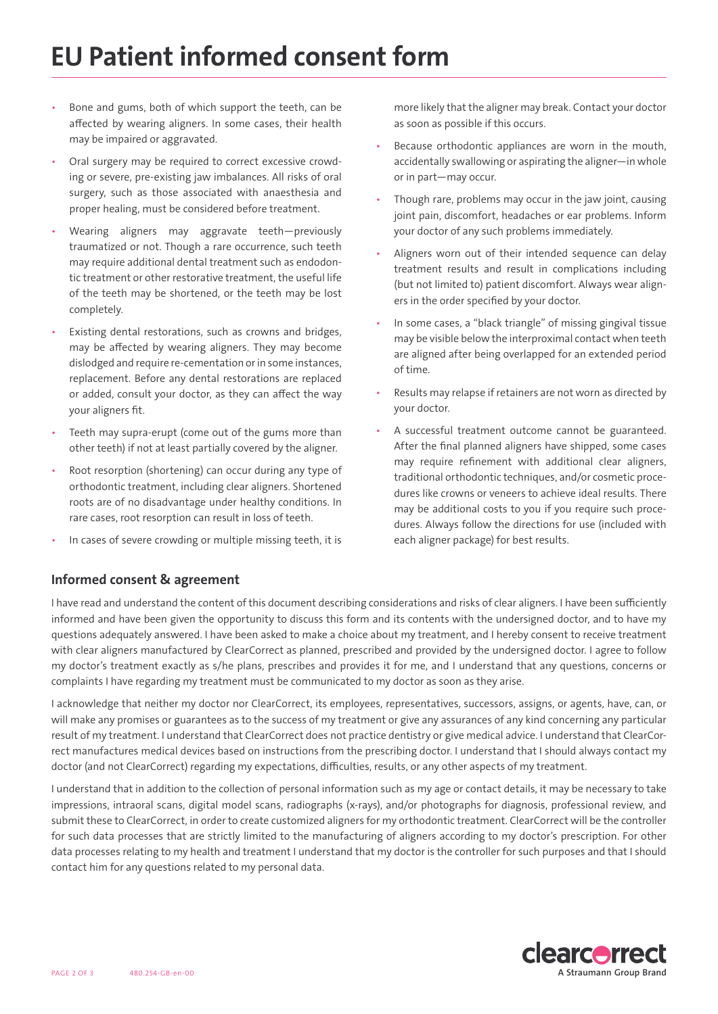## EU Patient informed consent form

- Bone and gums, both of which support the teeth, can be affected by wearing aligners. In some cases, their health may be impaired or aggravated.
- Oral surgery may be required to correct excessive crowding or severe, pre-existing jaw imbalances. All risks of oral surgery, such as those associated with anaesthesia and proper healing, must be considered before treatment.
- Wearing aligners may aggravate teeth—previously traumatized or not. Though a rare occurrence, such teeth may require additional dental treatment such as endodontic treatment or other restorative treatment, the useful life of the teeth may be shortened, or the teeth may be lost completely.
- Existing dental restorations, such as crowns and bridges, may be affected by wearing aligners. They may become dislodged and require re-cementation or in some instances, replacement. Before any dental restorations are replaced or added, consult your doctor, as they can affect the way your aligners fit.
- Teeth may supra-erupt (come out of the gums more than other teeth) if not at least partially covered by the aligner.
- Root resorption (shortening) can occur during any type of orthodontic treatment, including clear aligners. Shortened roots are of no disadvantage under healthy conditions. In rare cases, root resorption can result in loss of teeth.
- In cases of severe crowding or multiple missing teeth, it is

more likely that the aligner may break. Contact your doctor as soon as possible if this occurs.

- Because orthodontic appliances are worn in the mouth, accidentally swallowing or aspirating the aligner—in whole or in part—may occur.
- Though rare, problems may occur in the jaw joint, causing joint pain, discomfort, headaches or ear problems. Inform your doctor of any such problems immediately.
- Aligners worn out of their intended sequence can delay treatment results and result in complications including (but not limited to) patient discomfort. Always wear aligners in the order specified by your doctor.
- In some cases, a "black triangle" of missing gingival tissue may be visible below the interproximal contact when teeth are aligned after being overlapped for an extended period of time.
- Results may relapse if retainers are not worn as directed by your doctor.
- A successful treatment outcome cannot be guaranteed. After the final planned aligners have shipped, some cases may require refinement with additional clear aligners, traditional orthodontic techniques, and/or cosmetic procedures like crowns or veneers to achieve ideal results. There may be additional costs to you if you require such procedures. Always follow the directions for use (included with each aligner package) for best results.

### Informed consent & agreement

I have read and understand the content of this document describing considerations and risks of clear aligners. I have been sufficiently informed and have been given the opportunity to discuss this form and its contents with the undersigned doctor, and to have my questions adequately answered. I have been asked to make a choice about my treatment, and I hereby consent to receive treatment with clear aligners manufactured by ClearCorrect as planned, prescribed and provided by the undersigned doctor. I agree to follow my doctor's treatment exactly as s/he plans, prescribes and provides it for me, and I understand that any questions, concerns or complaints I have regarding my treatment must be communicated to my doctor as soon as they arise.

I acknowledge that neither my doctor nor ClearCorrect, its employees, representatives, successors, assigns, or agents, have, can, or will make any promises or guarantees as to the success of my treatment or give any assurances of any kind concerning any particular result of my treatment. I understand that ClearCorrect does not practice dentistry or give medical advice. I understand that ClearCorrect manufactures medical devices based on instructions from the prescribing doctor. I understand that I should always contact my doctor (and not ClearCorrect) regarding my expectations, difficulties, results, or any other aspects of my treatment.

I understand that in addition to the collection of personal information such as my age or contact details, it may be necessary to take impressions, intraoral scans, digital model scans, radiographs (x-rays), and/or photographs for diagnosis, professional review, and submit these to ClearCorrect, in order to create customized aligners for my orthodontic treatment. ClearCorrect will be the controller for such data processes that are strictly limited to the manufacturing of aligners according to my doctor's prescription. For other data processes relating to my health and treatment I understand that my doctor is the controller for such purposes and that I should contact him for any questions related to my personal data.